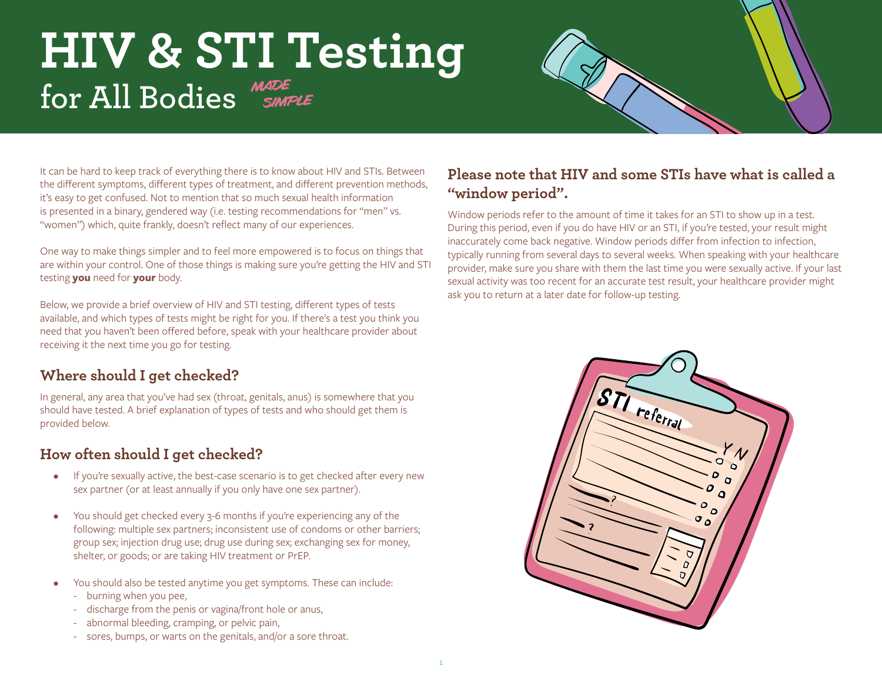# **HIV & STI Testing for All Bodies**



It can be hard to keep track of everything there is to know about HIV and STIs. Between the different symptoms, different types of treatment, and different prevention methods, it's easy to get confused. Not to mention that so much sexual health information is presented in a binary, gendered way (i.e. testing recommendations for "men" vs. "women") which, quite frankly, doesn't reflect many of our experiences.

One way to make things simpler and to feel more empowered is to focus on things that are within your control. One of those things is making sure you're getting the HIV and STI testing **you** need for **your** body.

Below, we provide a brief overview of HIV and STI testing, different types of tests available, and which types of tests might be right for you. If there's a test you think you need that you haven't been offered before, speak with your healthcare provider about receiving it the next time you go for testing.

### **Where should I get checked?**

In general, any area that you've had sex (throat, genitals, anus) is somewhere that you should have tested. A brief explanation of types of tests and who should get them is provided below.

# **How often should I get checked?**

- If you're sexually active, the best-case scenario is to get checked after every new sex partner (or at least annually if you only have one sex partner).
- You should get checked every 3-6 months if you're experiencing any of the following: multiple sex partners; inconsistent use of condoms or other barriers; group sex; injection drug use; drug use during sex; exchanging sex for money, shelter, or goods; or are taking HIV treatment or PrEP.
- You should also be tested anytime you get symptoms. These can include:
	- burning when you pee,
	- discharge from the penis or vagina/front hole or anus,
	- abnormal bleeding, cramping, or pelvic pain,
	- sores, bumps, or warts on the genitals, and/or a sore throat.

## **Please note that HIV and some STIs have what is called a "window period".**

Window periods refer to the amount of time it takes for an STI to show up in a test. During this period, even if you do have HIV or an STI, if you're tested, your result might inaccurately come back negative. Window periods differ from infection to infection, typically running from several days to several weeks. When speaking with your healthcare provider, make sure you share with them the last time you were sexually active. If your last sexual activity was too recent for an accurate test result, your healthcare provider might ask you to return at a later date for follow-up testing.

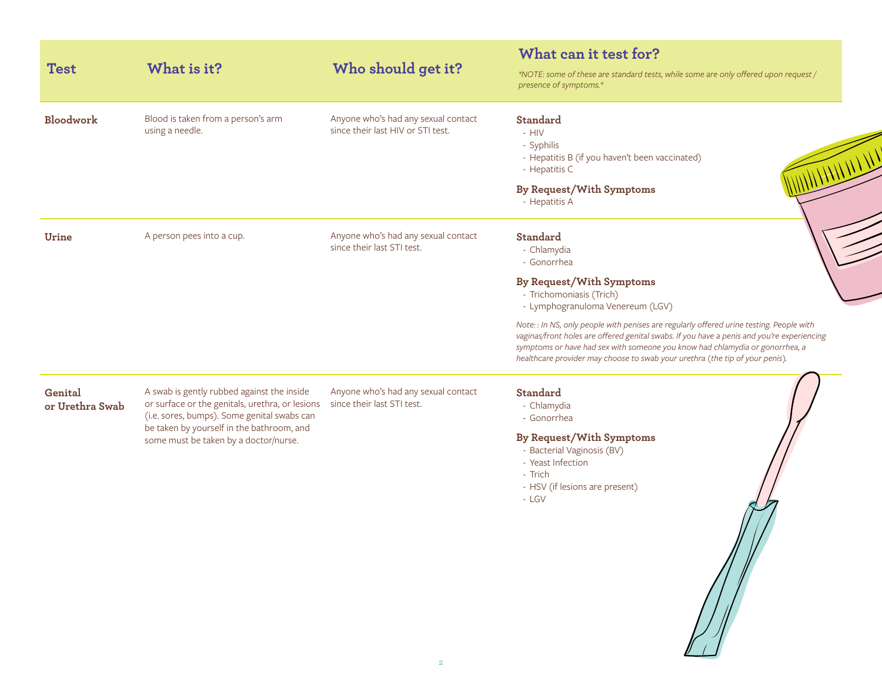| <b>Test</b>                | What is it?                                                                                                                                                                                                                        | Who should get it?                                                       | What can it test for?<br>*NOTE: some of these are standard tests, while some are only offered upon request /<br>presence of symptoms.*                                                                                                                                                                                                                                                                                                                                                              |
|----------------------------|------------------------------------------------------------------------------------------------------------------------------------------------------------------------------------------------------------------------------------|--------------------------------------------------------------------------|-----------------------------------------------------------------------------------------------------------------------------------------------------------------------------------------------------------------------------------------------------------------------------------------------------------------------------------------------------------------------------------------------------------------------------------------------------------------------------------------------------|
| Bloodwork                  | Blood is taken from a person's arm<br>using a needle.                                                                                                                                                                              | Anyone who's had any sexual contact<br>since their last HIV or STI test. | Standard<br>$-$ HIV<br>- Syphilis<br>WILHHIN<br>- Hepatitis B (if you haven't been vaccinated)<br>- Hepatitis C<br>By Request/With Symptoms<br>- Hepatitis A                                                                                                                                                                                                                                                                                                                                        |
| Urine                      | A person pees into a cup.                                                                                                                                                                                                          | Anyone who's had any sexual contact<br>since their last STI test.        | <b>Standard</b><br>- Chlamydia<br>- Gonorrhea<br>By Request/With Symptoms<br>- Trichomoniasis (Trich)<br>- Lymphogranuloma Venereum (LGV)<br>Note: : In NS, only people with penises are regularly offered urine testing. People with<br>vaginas/front holes are offered genital swabs. If you have a penis and you're experiencing<br>symptoms or have had sex with someone you know had chlamydia or gonorrhea, a<br>healthcare provider may choose to swab your urethra (the tip of your penis). |
| Genital<br>or Urethra Swab | A swab is gently rubbed against the inside<br>or surface or the genitals, urethra, or lesions<br>(i.e. sores, bumps). Some genital swabs can<br>be taken by yourself in the bathroom, and<br>some must be taken by a doctor/nurse. | Anyone who's had any sexual contact<br>since their last STI test.        | <b>Standard</b><br>- Chlamydia<br>- Gonorrhea<br>By Request/With Symptoms<br>- Bacterial Vaginosis (BV)<br>- Yeast Infection<br>- Trich<br>- HSV (if lesions are present)<br>- LGV                                                                                                                                                                                                                                                                                                                  |